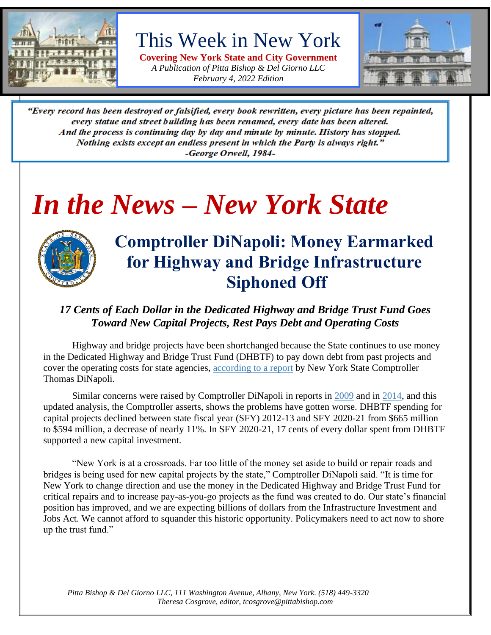

This Week in New York

**Covering New York State and City Government** *A Publication of Pitta Bishop & Del Giorno LLC February 4, 2022 Edition*



"Every record has been destroyed or falsified, every book rewritten, every picture has been repainted, every statue and street building has been renamed, every date has been altered. And the process is continuing day by day and minute by minute. History has stopped. Nothing exists except an endless present in which the Party is always right." -George Orwell, 1984-

# *In the News – New York State*



## **Comptroller DiNapoli: Money Earmarked for Highway and Bridge Infrastructure Siphoned Off**

#### *17 Cents of Each Dollar in the Dedicated Highway and Bridge Trust Fund Goes Toward New Capital Projects, Rest Pays Debt and Operating Costs*

Highway and bridge projects have been shortchanged because the State continues to use money in the Dedicated Highway and Bridge Trust Fund (DHBTF) to pay down debt from past projects and cover the operating costs for state agencies, [according to a report](https://www.osc.state.ny.us/files/reports/pdf/new-york-state-dedicated-highway-and-bridge-trust-fund-crossroads.pdf) by New York State Comptroller Thomas DiNapoli.

Similar concerns were raised by Comptroller DiNapoli in reports in [2009](https://www.osc.state.ny.us/files/reports/special-topics/pdf/transportation-highway-fund-2009.pdf) and in [2014,](https://www.osc.state.ny.us/files/reports/special-topics/pdf/transportation-highway-fund-2014.pdf) and this updated analysis, the Comptroller asserts, shows the problems have gotten worse. DHBTF spending for capital projects declined between state fiscal year (SFY) 2012-13 and SFY 2020-21 from \$665 million to \$594 million, a decrease of nearly 11%. In SFY 2020-21, 17 cents of every dollar spent from DHBTF supported a new capital investment.

"New York is at a crossroads. Far too little of the money set aside to build or repair roads and bridges is being used for new capital projects by the state," Comptroller DiNapoli said. "It is time for New York to change direction and use the money in the Dedicated Highway and Bridge Trust Fund for critical repairs and to increase pay-as-you-go projects as the fund was created to do. Our state's financial position has improved, and we are expecting billions of dollars from the Infrastructure Investment and Jobs Act. We cannot afford to squander this historic opportunity. Policymakers need to act now to shore up the trust fund."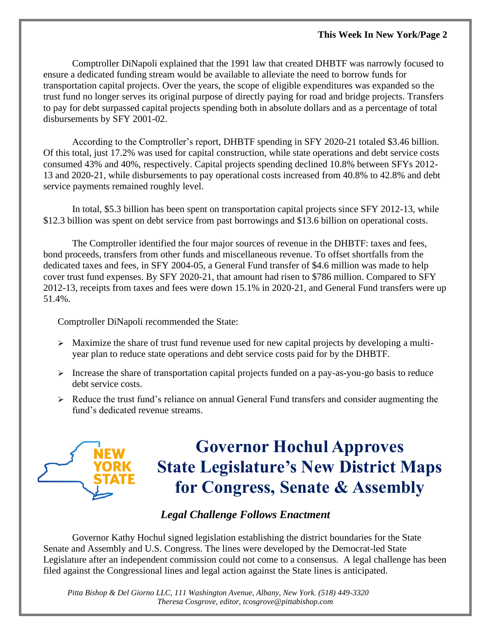Comptroller DiNapoli explained that the 1991 law that created DHBTF was narrowly focused to ensure a dedicated funding stream would be available to alleviate the need to borrow funds for transportation capital projects. Over the years, the scope of eligible expenditures was expanded so the trust fund no longer serves its original purpose of directly paying for road and bridge projects. Transfers to pay for debt surpassed capital projects spending both in absolute dollars and as a percentage of total disbursements by SFY 2001-02.

According to the Comptroller's report, DHBTF spending in SFY 2020-21 totaled \$3.46 billion. Of this total, just 17.2% was used for capital construction, while state operations and debt service costs consumed 43% and 40%, respectively. Capital projects spending declined 10.8% between SFYs 2012- 13 and 2020-21, while disbursements to pay operational costs increased from 40.8% to 42.8% and debt service payments remained roughly level.

In total, \$5.3 billion has been spent on transportation capital projects since SFY 2012-13, while \$12.3 billion was spent on debt service from past borrowings and \$13.6 billion on operational costs.

The Comptroller identified the four major sources of revenue in the DHBTF: taxes and fees, bond proceeds, transfers from other funds and miscellaneous revenue. To offset shortfalls from the dedicated taxes and fees, in SFY 2004-05, a General Fund transfer of \$4.6 million was made to help cover trust fund expenses. By SFY 2020-21, that amount had risen to \$786 million. Compared to SFY 2012-13, receipts from taxes and fees were down 15.1% in 2020-21, and General Fund transfers were up 51.4%.

Comptroller DiNapoli recommended the State:

- ➢ Maximize the share of trust fund revenue used for new capital projects by developing a multiyear plan to reduce state operations and debt service costs paid for by the DHBTF.
- ➢ Increase the share of transportation capital projects funded on a pay-as-you-go basis to reduce debt service costs.
- $\triangleright$  Reduce the trust fund's reliance on annual General Fund transfers and consider augmenting the fund's dedicated revenue streams.



# **Governor Hochul Approves State Legislature's New District Maps for Congress, Senate & Assembly**

#### *Legal Challenge Follows Enactment*

Governor Kathy Hochul signed legislation establishing the district boundaries for the State Senate and Assembly and U.S. Congress. The lines were developed by the Democrat-led State Legislature after an independent commission could not come to a consensus. A legal challenge has been filed against the Congressional lines and legal action against the State lines is anticipated.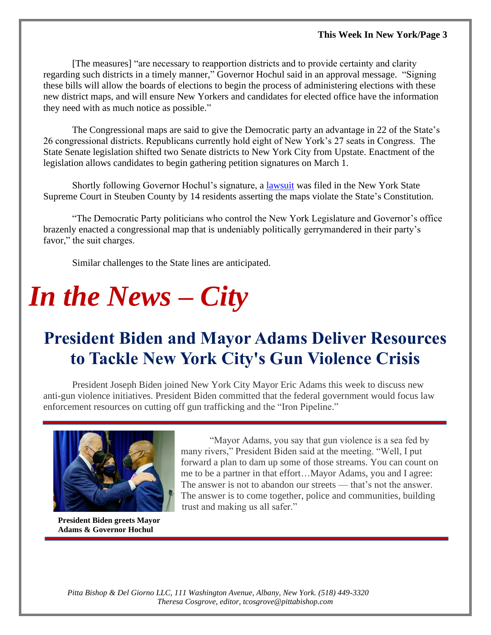[The measures] "are necessary to reapportion districts and to provide certainty and clarity regarding such districts in a timely manner," Governor Hochul said in an approval message. "Signing these bills will allow the boards of elections to begin the process of administering elections with these new district maps, and will ensure New Yorkers and candidates for elected office have the information they need with as much notice as possible."

The Congressional maps are said to give the Democratic party an advantage in 22 of the State's 26 congressional districts. Republicans currently hold eight of New York's 27 seats in Congress. The State Senate legislation shifted two Senate districts to New York City from Upstate. Enactment of the legislation allows candidates to begin gathering petition signatures on March 1.

Shortly following Governor Hochul's signature, a [lawsuit](https://files.constantcontact.com/cc29d5c8601/934a4213-bbd6-41e2-8f35-8711ed45aec7.pdf) was filed in the New York State Supreme Court in Steuben County by 14 residents asserting the maps violate the State's Constitution.

"The Democratic Party politicians who control the New York Legislature and Governor's office brazenly enacted a congressional map that is undeniably politically gerrymandered in their party's favor," the suit charges.

Similar challenges to the State lines are anticipated.

# *In the News – City*

# **President Biden and Mayor Adams Deliver Resources to Tackle New York City's Gun Violence Crisis**

President Joseph Biden joined New York City Mayor Eric Adams this week to discuss new anti-gun violence initiatives. President Biden committed that the federal government would focus law enforcement resources on cutting off gun trafficking and the "Iron Pipeline."



**President Biden greets Mayor Adams & Governor Hochul** 

"Mayor Adams, you say that gun violence is a sea fed by many rivers," President Biden said at the meeting. "Well, I put forward a plan to dam up some of those streams. You can count on me to be a partner in that effort…Mayor Adams, you and I agree: The answer is not to abandon our streets — that's not the answer. The answer is to come together, police and communities, building trust and making us all safer."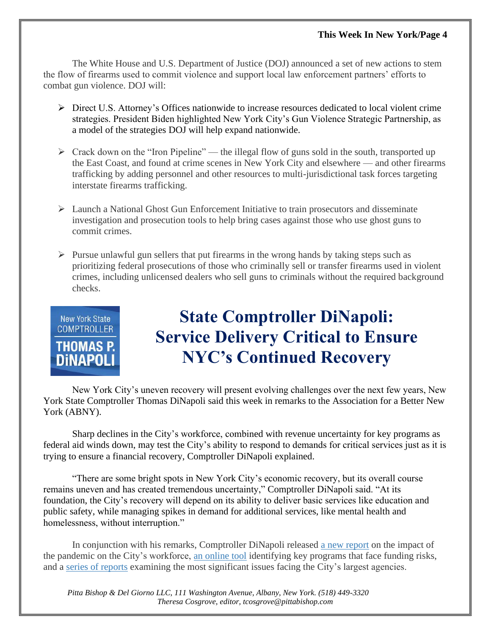The White House and U.S. Department of Justice (DOJ) announced a set of new actions to stem the flow of firearms used to commit violence and support local law enforcement partners' efforts to combat gun violence. DOJ will:

- ➢ Direct U.S. Attorney's Offices nationwide to increase resources dedicated to local violent crime strategies. President Biden highlighted New York City's Gun Violence Strategic Partnership, as a model of the strategies DOJ will help expand nationwide.
- $\triangleright$  Crack down on the "Iron Pipeline" the illegal flow of guns sold in the south, transported up the East Coast, and found at crime scenes in New York City and elsewhere — and other firearms trafficking by adding personnel and other resources to multi-jurisdictional task forces targeting interstate firearms trafficking.
- $\triangleright$  Launch a National Ghost Gun Enforcement Initiative to train prosecutors and disseminate investigation and prosecution tools to help bring cases against those who use ghost guns to commit crimes.
- $\triangleright$  Pursue unlawful gun sellers that put firearms in the wrong hands by taking steps such as prioritizing federal prosecutions of those who criminally sell or transfer firearms used in violent crimes, including unlicensed dealers who sell guns to criminals without the required background checks.



# **State Comptroller DiNapoli: Service Delivery Critical to Ensure NYC's Continued Recovery**

New York City's uneven recovery will present evolving challenges over the next few years, New York State Comptroller Thomas DiNapoli said this week in remarks to the Association for a Better New York (ABNY).

Sharp declines in the City's workforce, combined with revenue uncertainty for key programs as federal aid winds down, may test the City's ability to respond to demands for critical services just as it is trying to ensure a financial recovery, Comptroller DiNapoli explained.

"There are some bright spots in New York City's economic recovery, but its overall course remains uneven and has created tremendous uncertainty," Comptroller DiNapoli said. "At its foundation, the City's recovery will depend on its ability to deliver basic services like education and public safety, while managing spikes in demand for additional services, like mental health and homelessness, without interruption."

In conjunction with his remarks, Comptroller DiNapoli released [a new report](https://www.osc.state.ny.us/files/reports/osdc/pdf/report-18-2022.pdf) on the impact of the pandemic on the City's workforce, [an online tool](https://www.osc.state.ny.us/reports/osdc/identifying-fiscal-cliffs-new-york-citys-financial-plan) identifying key programs that face funding risks, and a [series of reports](https://www.osc.state.ny.us/files/reports/osdc/pdf/issues-facing-new-york-city-agencies.pdf) examining the most significant issues facing the City's largest agencies.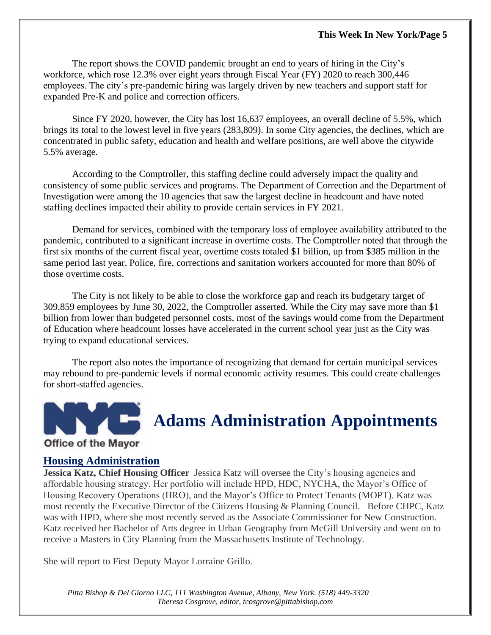The report shows the COVID pandemic brought an end to years of hiring in the City's workforce, which rose 12.3% over eight years through Fiscal Year (FY) 2020 to reach 300,446 employees. The city's pre-pandemic hiring was largely driven by new teachers and support staff for expanded Pre-K and police and correction officers.

Since FY 2020, however, the City has lost 16,637 employees, an overall decline of 5.5%, which brings its total to the lowest level in five years (283,809). In some City agencies, the declines, which are concentrated in public safety, education and health and welfare positions, are well above the citywide 5.5% average.

According to the Comptroller, this staffing decline could adversely impact the quality and consistency of some public services and programs. The Department of Correction and the Department of Investigation were among the 10 agencies that saw the largest decline in headcount and have noted staffing declines impacted their ability to provide certain services in FY 2021.

Demand for services, combined with the temporary loss of employee availability attributed to the pandemic, contributed to a significant increase in overtime costs. The Comptroller noted that through the first six months of the current fiscal year, overtime costs totaled \$1 billion, up from \$385 million in the same period last year. Police, fire, corrections and sanitation workers accounted for more than 80% of those overtime costs.

The City is not likely to be able to close the workforce gap and reach its budgetary target of 309,859 employees by June 30, 2022, the Comptroller asserted. While the City may save more than \$1 billion from lower than budgeted personnel costs, most of the savings would come from the Department of Education where headcount losses have accelerated in the current school year just as the City was trying to expand educational services.

The report also notes the importance of recognizing that demand for certain municipal services may rebound to pre-pandemic levels if normal economic activity resumes. This could create challenges for short-staffed agencies.



## **Adams Administration Appointments**

#### **Office of the Mayor**

#### **Housing Administration**

**Jessica Katz, Chief Housing Officer** Jessica Katz will oversee the City's housing agencies and affordable housing strategy. Her portfolio will include HPD, HDC, NYCHA, the Mayor's Office of Housing Recovery Operations (HRO), and the Mayor's Office to Protect Tenants (MOPT). Katz was most recently the Executive Director of the Citizens Housing & Planning Council. Before CHPC, Katz was with HPD, where she most recently served as the Associate Commissioner for New Construction. Katz received her Bachelor of Arts degree in Urban Geography from McGill University and went on to receive a Masters in City Planning from the Massachusetts Institute of Technology.

She will report to First Deputy Mayor Lorraine Grillo.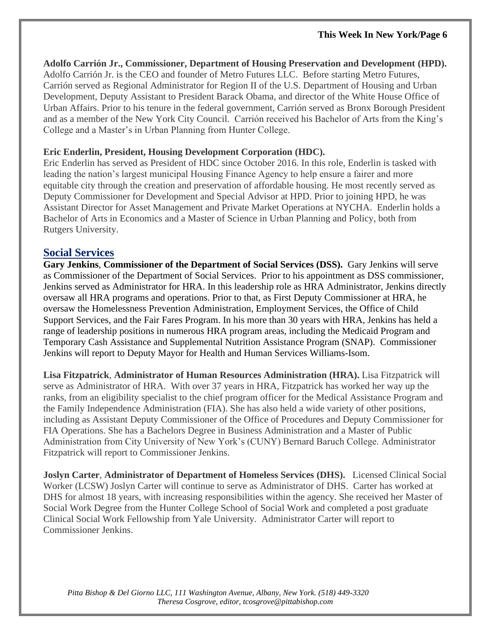**Adolfo Carrión Jr., Commissioner, Department of Housing Preservation and Development (HPD).** Adolfo Carrión Jr. is the CEO and founder of Metro Futures LLC. Before starting Metro Futures, Carrión served as Regional Administrator for Region II of the U.S. Department of Housing and Urban Development, Deputy Assistant to President Barack Obama, and director of the White House Office of Urban Affairs. Prior to his tenure in the federal government, Carrión served as Bronx Borough President and as a member of the New York City Council. Carrión received his Bachelor of Arts from the King's College and a Master's in Urban Planning from Hunter College.

#### **Eric Enderlin, President, Housing Development Corporation (HDC).**

Eric Enderlin has served as President of HDC since October 2016. In this role, Enderlin is tasked with leading the nation's largest municipal Housing Finance Agency to help ensure a fairer and more equitable city through the creation and preservation of affordable housing. He most recently served as Deputy Commissioner for Development and Special Advisor at HPD. Prior to joining HPD, he was Assistant Director for Asset Management and Private Market Operations at NYCHA. Enderlin holds a Bachelor of Arts in Economics and a Master of Science in Urban Planning and Policy, both from Rutgers University.

#### **Social Services**

**Gary Jenkins**, **Commissioner of the Department of Social Services (DSS).** Gary Jenkins will serve as Commissioner of the Department of Social Services. Prior to his appointment as DSS commissioner, Jenkins served as Administrator for HRA. In this leadership role as HRA Administrator, Jenkins directly oversaw all HRA programs and operations. Prior to that, as First Deputy Commissioner at HRA, he oversaw the Homelessness Prevention Administration, Employment Services, the Office of Child Support Services, and the Fair Fares Program. In his more than 30 years with HRA, Jenkins has held a range of leadership positions in numerous HRA program areas, including the Medicaid Program and Temporary Cash Assistance and Supplemental Nutrition Assistance Program (SNAP). Commissioner Jenkins will report to Deputy Mayor for Health and Human Services Williams-Isom.

**Lisa Fitzpatrick**, **Administrator of Human Resources Administration (HRA).** Lisa Fitzpatrick will serve as Administrator of HRA. With over 37 years in HRA, Fitzpatrick has worked her way up the ranks, from an eligibility specialist to the chief program officer for the Medical Assistance Program and the Family Independence Administration (FIA). She has also held a wide variety of other positions, including as Assistant Deputy Commissioner of the Office of Procedures and Deputy Commissioner for FIA Operations. She has a Bachelors Degree in Business Administration and a Master of Public Administration from City University of New York's (CUNY) Bernard Baruch College. Administrator Fitzpatrick will report to Commissioner Jenkins.

**Joslyn Carter**, **Administrator of Department of Homeless Services (DHS).** Licensed Clinical Social Worker (LCSW) Joslyn Carter will continue to serve as Administrator of DHS. Carter has worked at DHS for almost 18 years, with increasing responsibilities within the agency. She received her Master of Social Work Degree from the Hunter College School of Social Work and completed a post graduate Clinical Social Work Fellowship from Yale University. Administrator Carter will report to Commissioner Jenkins.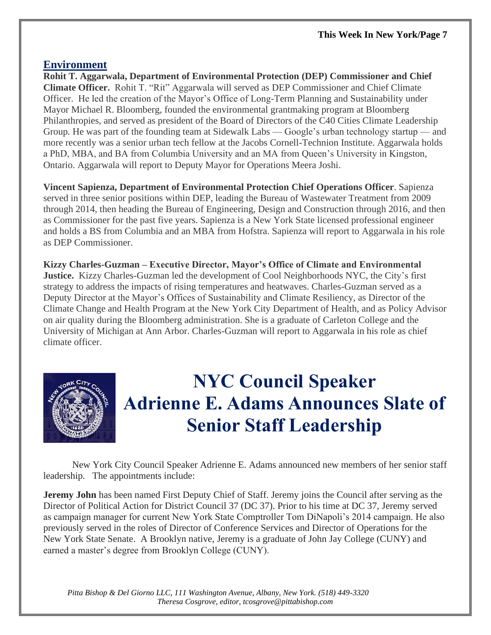#### **Environment**

**Rohit T. Aggarwala, Department of Environmental Protection (DEP) Commissioner and Chief Climate Officer.** Rohit T. "Rit" Aggarwala will served as DEP Commissioner and Chief Climate Officer. He led the creation of the Mayor's Office of Long-Term Planning and Sustainability under Mayor Michael R. Bloomberg, founded the environmental grantmaking program at Bloomberg Philanthropies, and served as president of the Board of Directors of the C40 Cities Climate Leadership Group. He was part of the founding team at Sidewalk Labs — Google's urban technology startup — and more recently was a senior urban tech fellow at the Jacobs Cornell-Technion Institute. Aggarwala holds a PhD, MBA, and BA from Columbia University and an MA from Queen's University in Kingston, Ontario. Aggarwala will report to Deputy Mayor for Operations Meera Joshi.

**Vincent Sapienza, Department of Environmental Protection Chief Operations Officer**. Sapienza served in three senior positions within DEP, leading the Bureau of Wastewater Treatment from 2009 through 2014, then heading the Bureau of Engineering, Design and Construction through 2016, and then as Commissioner for the past five years. Sapienza is a New York State licensed professional engineer and holds a BS from Columbia and an MBA from Hofstra. Sapienza will report to Aggarwala in his role as DEP Commissioner.

**Kizzy Charles-Guzman – Executive Director, Mayor's Office of Climate and Environmental Justice.** Kizzy Charles-Guzman led the development of Cool Neighborhoods NYC, the City's first strategy to address the impacts of rising temperatures and heatwaves. Charles-Guzman served as a Deputy Director at the Mayor's Offices of Sustainability and Climate Resiliency, as Director of the Climate Change and Health Program at the New York City Department of Health, and as Policy Advisor on air quality during the Bloomberg administration. She is a graduate of Carleton College and the University of Michigan at Ann Arbor. Charles-Guzman will report to Aggarwala in his role as chief climate officer.



# **NYC Council Speaker Adrienne E. Adams Announces Slate of Senior Staff Leadership**

New York City Council Speaker Adrienne E. Adams announced new members of her senior staff leadership. The appointments include:

**Jeremy John** has been named First Deputy Chief of Staff. Jeremy joins the Council after serving as the Director of Political Action for District Council 37 (DC 37). Prior to his time at DC 37, Jeremy served as campaign manager for current New York State Comptroller Tom DiNapoli's 2014 campaign. He also previously served in the roles of Director of Conference Services and Director of Operations for the New York State Senate. A Brooklyn native, Jeremy is a graduate of John Jay College (CUNY) and earned a master's degree from Brooklyn College (CUNY).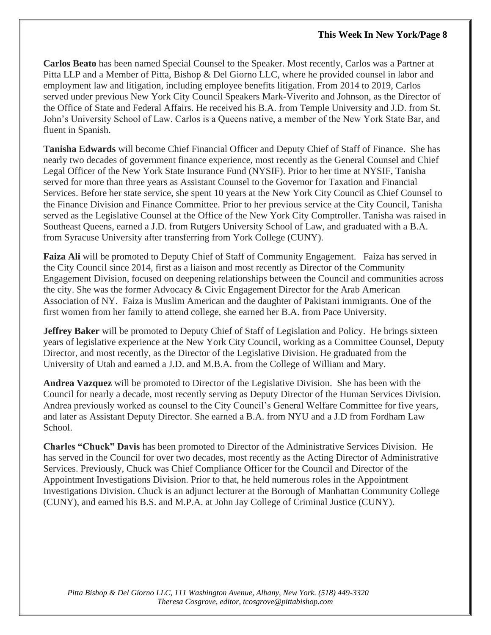**Carlos Beato** has been named Special Counsel to the Speaker. Most recently, Carlos was a Partner at Pitta LLP and a Member of Pitta, Bishop & Del Giorno LLC, where he provided counsel in labor and employment law and litigation, including employee benefits litigation. From 2014 to 2019, Carlos served under previous New York City Council Speakers Mark-Viverito and Johnson, as the Director of the Office of State and Federal Affairs. He received his B.A. from Temple University and J.D. from St. John's University School of Law. Carlos is a Queens native, a member of the New York State Bar, and fluent in Spanish.

**Tanisha Edwards** will become Chief Financial Officer and Deputy Chief of Staff of Finance. She has nearly two decades of government finance experience, most recently as the General Counsel and Chief Legal Officer of the New York State Insurance Fund (NYSIF). Prior to her time at NYSIF, Tanisha served for more than three years as Assistant Counsel to the Governor for Taxation and Financial Services. Before her state service, she spent 10 years at the New York City Council as Chief Counsel to the Finance Division and Finance Committee. Prior to her previous service at the City Council, Tanisha served as the Legislative Counsel at the Office of the New York City Comptroller. Tanisha was raised in Southeast Queens, earned a J.D. from Rutgers University School of Law, and graduated with a B.A. from Syracuse University after transferring from York College (CUNY).

**Faiza Ali** will be promoted to Deputy Chief of Staff of Community Engagement. Faiza has served in the City Council since 2014, first as a liaison and most recently as Director of the Community Engagement Division, focused on deepening relationships between the Council and communities across the city. She was the former Advocacy & Civic Engagement Director for the Arab American Association of NY. Faiza is Muslim American and the daughter of Pakistani immigrants. One of the first women from her family to attend college, she earned her B.A. from Pace University.

**Jeffrey Baker** will be promoted to Deputy Chief of Staff of Legislation and Policy. He brings sixteen years of legislative experience at the New York City Council, working as a Committee Counsel, Deputy Director, and most recently, as the Director of the Legislative Division. He graduated from the University of Utah and earned a J.D. and M.B.A. from the College of William and Mary.

**Andrea Vazquez** will be promoted to Director of the Legislative Division. She has been with the Council for nearly a decade, most recently serving as Deputy Director of the Human Services Division. Andrea previously worked as counsel to the City Council's General Welfare Committee for five years, and later as Assistant Deputy Director. She earned a B.A. from NYU and a J.D from Fordham Law School.

**Charles "Chuck" Davis** has been promoted to Director of the Administrative Services Division. He has served in the Council for over two decades, most recently as the Acting Director of Administrative Services. Previously, Chuck was Chief Compliance Officer for the Council and Director of the Appointment Investigations Division. Prior to that, he held numerous roles in the Appointment Investigations Division. Chuck is an adjunct lecturer at the Borough of Manhattan Community College (CUNY), and earned his B.S. and M.P.A. at John Jay College of Criminal Justice (CUNY).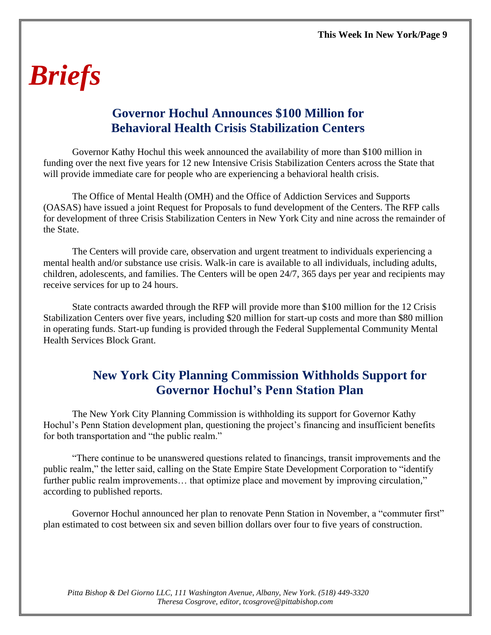# *Briefs*

## **Governor Hochul Announces \$100 Million for Behavioral Health Crisis Stabilization Centers**

Governor Kathy Hochul this week announced the availability of more than \$100 million in funding over the next five years for 12 new Intensive Crisis Stabilization Centers across the State that will provide immediate care for people who are experiencing a behavioral health crisis.

The Office of Mental Health (OMH) and the Office of Addiction Services and Supports (OASAS) have issued a joint Request for Proposals to fund development of the Centers. The RFP calls for development of three Crisis Stabilization Centers in New York City and nine across the remainder of the State.

The Centers will provide care, observation and urgent treatment to individuals experiencing a mental health and/or substance use crisis. Walk-in care is available to all individuals, including adults, children, adolescents, and families. The Centers will be open 24/7, 365 days per year and recipients may receive services for up to 24 hours.

State contracts awarded through the RFP will provide more than \$100 million for the 12 Crisis Stabilization Centers over five years, including \$20 million for start-up costs and more than \$80 million in operating funds. Start-up funding is provided through the Federal Supplemental Community Mental Health Services Block Grant.

## **New York City Planning Commission Withholds Support for Governor Hochul's Penn Station Plan**

The New York City Planning Commission is withholding its support for Governor Kathy Hochul's Penn Station development plan, questioning the project's financing and insufficient benefits for both transportation and "the public realm."

"There continue to be unanswered questions related to financings, transit improvements and the public realm," the letter said, calling on the State Empire State Development Corporation to "identify further public realm improvements... that optimize place and movement by improving circulation," according to published reports.

Governor Hochul announced her plan to renovate Penn Station in November, a "commuter first" plan estimated to cost between six and seven billion dollars over four to five years of construction.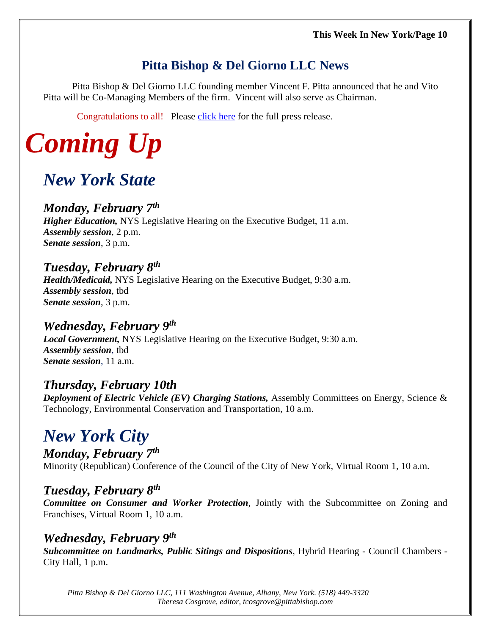## **Pitta Bishop & Del Giorno LLC News**

Pitta Bishop & Del Giorno LLC founding member Vincent F. Pitta announced that he and Vito Pitta will be Co-Managing Members of the firm. Vincent will also serve as Chairman.

Congratulations to all! Please [click here](https://files.constantcontact.com/cc29d5c8601/ac52a3c7-2530-4394-bbb3-e70a4748009c.pdf) for the full press release.

# *Coming Up*

## *New York State*

## *Monday, February 7 th*

*Higher Education,* NYS Legislative Hearing on the Executive Budget, 11 a.m. *Assembly session*, 2 p.m. *Senate session*, 3 p.m.

## *Tuesday, February 8 th*

*Health/Medicaid,* NYS Legislative Hearing on the Executive Budget, 9:30 a.m. *Assembly session*, tbd *Senate session*, 3 p.m.

### *Wednesday, February 9 th*

*Local Government,* NYS Legislative Hearing on the Executive Budget, 9:30 a.m. *Assembly session*, tbd *Senate session*, 11 a.m.

### *Thursday, February 10th*

*Deployment of Electric Vehicle (EV) Charging Stations,* Assembly Committees on Energy, Science & Technology, Environmental Conservation and Transportation, 10 a.m.

## *New York City*

*Monday, February 7 th* Minority (Republican) Conference of the Council of the City of New York, Virtual Room 1, 10 a.m.

## *Tuesday, February 8 th*

*Committee on Consumer and Worker Protection*, Jointly with the Subcommittee on Zoning and Franchises, Virtual Room 1, 10 a.m.

#### *Wednesday, February 9 th*

*Subcommittee on Landmarks, Public Sitings and Dispositions*, Hybrid Hearing - Council Chambers - City Hall, 1 p.m.